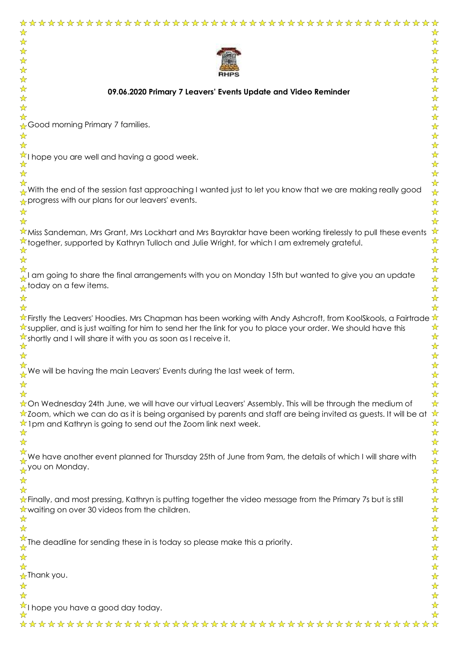| ☆<br>☆                                                                                                                                                                                                                                                     |
|------------------------------------------------------------------------------------------------------------------------------------------------------------------------------------------------------------------------------------------------------------|
| ☆<br>☆                                                                                                                                                                                                                                                     |
| ☆<br>☆<br>☆                                                                                                                                                                                                                                                |
| ☆<br>☆<br>☆                                                                                                                                                                                                                                                |
| ☆<br>☆                                                                                                                                                                                                                                                     |
| ☆<br>☆<br>09.06.2020 Primary 7 Leavers' Events Update and Video Reminder<br>☆<br>☆                                                                                                                                                                         |
| ☆<br>☆                                                                                                                                                                                                                                                     |
| ☆<br>☆                                                                                                                                                                                                                                                     |
| ☆Good morning Primary 7 families.<br>☆<br>☆<br>☆                                                                                                                                                                                                           |
| $\frac{1}{\mathbf{k}^{\prime}}$<br>☆                                                                                                                                                                                                                       |
| $\frac{1}{\mathcal{N}}$<br>I hope you are well and having a good week.                                                                                                                                                                                     |
| $\frac{1}{\mathbf{k}^{\prime}}$<br>☆<br>$\frac{1}{\mathcal{N}}$<br>☆                                                                                                                                                                                       |
| $\frac{1}{\mathbf{k}}$<br>☆                                                                                                                                                                                                                                |
| . With the end of the session fast approaching I wanted just to let you know that we are making really good<br>$\frac{1}{\mathbf{k}}$                                                                                                                      |
| progress with our plans for our leavers' events.<br>$\frac{1}{\mathbf{k}^{\prime}}$                                                                                                                                                                        |
| $\frac{1}{\mathbf{k}}$<br>☆<br>☆<br>☆                                                                                                                                                                                                                      |
| ☆<br>Miss Sandeman, Mrs Grant, Mrs Lockhart and Mrs Bayraktar have been working tirelessly to pull these events                                                                                                                                            |
| ☆<br>together, supported by Kathryn Tulloch and Julie Wright, for which I am extremely grateful.                                                                                                                                                           |
| ☆<br>☆<br>☆<br>☆                                                                                                                                                                                                                                           |
| $\frac{1}{\mathbf{k}}$                                                                                                                                                                                                                                     |
| am going to share the final arrangements with you on Monday 15th but wanted to give you an update<br>$\frac{1}{\mathbf{k}^{\prime}}$                                                                                                                       |
| $\frac{1}{\sqrt{2}}$ today on a few items.<br>$\frac{1}{\sqrt{2}}$<br>☆                                                                                                                                                                                    |
| ☆<br>☆<br>☆                                                                                                                                                                                                                                                |
| $\frac{1}{N}$ Firstly the Leavers' Hoodies. Mrs Chapman has been working with Andy Ashcroft, from KoolSkools, a Fairtrade $\frac{1}{N}$                                                                                                                    |
| ☆<br>A supplier, and is just waiting for him to send her the link for you to place your order. We should have this<br>☆                                                                                                                                    |
| $\sqrt[3]{x}$ shortly and I will share it with you as soon as I receive it.<br>$\frac{1}{\mathcal{N}}$                                                                                                                                                     |
|                                                                                                                                                                                                                                                            |
| ☆<br>$\frac{1}{\sqrt{2}}$ We will be having the main Leavers' Events during the last week of term.                                                                                                                                                         |
| ☆<br>$\frac{1}{\mathbf{k}}$<br>☆                                                                                                                                                                                                                           |
| $\frac{1}{\mathcal{N}}$<br>☆                                                                                                                                                                                                                               |
| ☆<br>☆On Wednesday 24th June, we will have our virtual Leavers' Assembly. This will be through the medium of                                                                                                                                               |
| $\frac{1}{\sqrt{2}}$<br>$\star$ Zoom, which we can do as it is being organised by parents and staff are being invited as guests. It will be at<br>$\frac{1}{\sqrt{2}}$<br>$\hat{\mathbf{x}}$ Ipm and Kathryn is going to send out the Zoom link next week. |
| $\frac{1}{\mathbf{k}}$<br>☆                                                                                                                                                                                                                                |
| $\frac{1}{\mathbf{k}^{\prime}}$<br>☆                                                                                                                                                                                                                       |
| 琴琴<br>We have another event planned for Thursday 25th of June from 9am, the details of which I will share with                                                                                                                                             |
| you on Monday.<br>$\frac{1}{\mathcal{N}}$                                                                                                                                                                                                                  |
| $\frac{1}{\sqrt{2}}$<br>☆                                                                                                                                                                                                                                  |
| $\frac{1}{\mathbf{k}}$<br>☆<br>$\frac{1}{\sqrt{2}}$                                                                                                                                                                                                        |
| $\star$ Finally, and most pressing, Kathryn is putting together the video message from the Primary 7s but is still<br>$\frac{1}{\sqrt{2}}$<br>$\sqrt{\chi}$ waiting on over 30 videos from the children.                                                   |
| $\frac{1}{\mathbf{k}}$<br>☆                                                                                                                                                                                                                                |
| $\frac{1}{\mathbf{k}}$<br>☆                                                                                                                                                                                                                                |
| $\frac{1}{\mathcal{N}}$<br>$\frac{\lambda}{\lambda}$ The deadline for sending these in is today so please make this a priority.<br>$\frac{1}{\mathcal{N}}$                                                                                                 |
| $\frac{1}{2}$<br>☆                                                                                                                                                                                                                                         |
| $\frac{1}{\mathbf{k}^{\prime}}$<br>☆                                                                                                                                                                                                                       |
| $\frac{1}{\mathcal{N}}$<br>☆Thank you.<br>$\frac{1}{\mathbf{k}}$<br>☆                                                                                                                                                                                      |
| $\frac{1}{\sqrt{2}}$<br>☆                                                                                                                                                                                                                                  |
| $\frac{1}{\sqrt{2}}$<br>$\sqrt{\frac{1}{2}}$ I hope you have a good day today.                                                                                                                                                                             |
| $\frac{1}{\sqrt{2}}$                                                                                                                                                                                                                                       |